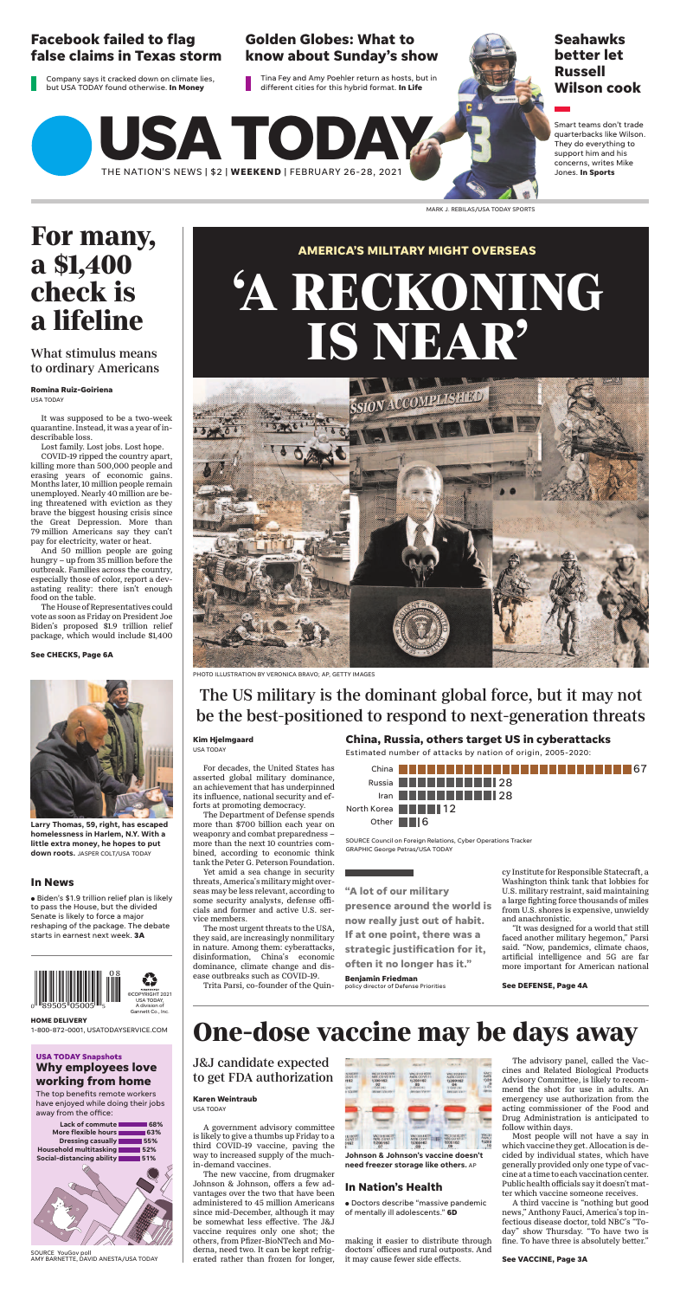For decades, the United States has

asserted global military dominance, an achievement that has underpinned its influence, national security and efforts at promoting democracy.

The Department of Defense spends more than \$700 billion each year on weaponry and combat preparedness – more than the next 10 countries combined, according to economic think tank the Peter G. Peterson Foundation.

Yet amid a sea change in security threats, America's military might overseas may be less relevant, according to some security analysts, defense offi cials and former and active U.S. service members.

The most urgent threats to the USA, they said, are increasingly nonmilitary in nature. Among them: cyberattacks, disinformation, China's economic dominance, climate change and disease outbreaks such as COVID-19.

Trita Parsi, co-founder of the Quin-

cy Institute for Responsible Statecraft, a Washington think tank that lobbies for U.S. military restraint, said maintaining a large fighting force thousands of miles from U.S. shores is expensive, unwieldy and anachronistic.

#### **USA TODAY Snapshots Why employees love working from home**

The top benefits remote workers have enjoyed while doing their jobs away from the office:

"It was designed for a world that still faced another military hegemon," Parsi said. "Now, pandemics, climate chaos, artificial intelligence and 5G are far more important for American national

# **AMERICA'S MILITARY MIGHT OVERSEAS 'A RECKONING IS NEAR'**



PHOTO ILLUSTRATION BY VERONICA BRAVO; AP, GETTY IMAGES

# The US military is the dominant global force, but it may not be the best-positioned to respond to next-generation threats

**China, Russia, others target US in cyberattacks**

GRAPHIC George Petras/USA TODAY SOURCE Council on Foreign Relations, Cyber Operations Tracker

Estimated number of attacks by nation of origin, 2005-2020:



**Kim Hjelmgaard**

USA TODAY

**See DEFENSE, Page 4A**

**"A lot of our military presence around the world is now really just out of habit. If at one point, there was a strategic justification for it, often it no longer has it."**

#### **Benjamin Friedman**

policy director of Defense Priorities

**USA TODAY**

THE NATION'S NEWS | \$2 | **WEEKEND** | FEBRUARY 26-28, 2021



 $\bullet$  Biden's \$1.9 trillion relief plan is likely to pass the House, but the divided Senate is likely to force a major reshaping of the package. The debate starts in earnest next week. **3A**



Gannett Co., Inc.

| Lack of commute                           | 68% |
|-------------------------------------------|-----|
| More flexible hours                       | 63% |
| <b>Dressing casually I</b>                | 55% |
| Household multitasking                    | 52% |
| Social-distancing ability <b>1999</b> 51% |     |
|                                           |     |

SOURCE YouGov poll AMY BARNETTE, DAVID ANESTA/USA TODAY

**HOME DELIVERY** 1-800-872-0001, USATODAYSERVICE.COM

### **Facebook failed to flag false claims in Texas storm**

Company says it cracked down on climate lies, but USA TODAY found otherwise. **In Money**

#### **Golden Globes: What to know about Sunday's show**

Tina Fey and Amy Poehler return as hosts, but in different cities for this hybrid format. **In Life**

**Seahawks better let Russell Wilson cook**

Smart teams don't trade quarterbacks like Wilson. They do everything to support him and his concerns, writes Mike Jones. **In Sports**

**• Doctors describe "massive pandemic** of mentally ill adolescents." **6D**

MARK J. REBILAS/USA TODAY SPORTS

It was supposed to be a two-week quarantine. Instead, it was a year of indescribable loss.

Lost family. Lost jobs. Lost hope.

COVID-19 ripped the country apart, killing more than 500,000 people and erasing years of economic gains. Months later, 10 million people remain unemployed. Nearly 40 million are being threatened with eviction as they brave the biggest housing crisis since the Great Depression. More than 79 million Americans say they can't pay for electricity, water or heat.

And 50 million people are going hungry – up from 35 million before the outbreak. Families across the country, especially those of color, report a devastating reality: there isn't enough food on the table.

The House of Representatives could vote as soon as Friday on President Joe Biden's proposed \$1.9 trillion relief package, which would include \$1,400

# **For many, a \$1,400 check is a lifeline**

#### What stimulus means to ordinary Americans

**Romina Ruiz-Goiriena** USA TODAY

#### **In News**

**Larry Thomas, 59, right, has escaped homelessness in Harlem, N.Y. With a little extra money, he hopes to put down roots.** JASPER COLT/USA TODAY

**See CHECKS, Page 6A**



A government advisory committee is likely to give a thumbs up Friday to a third COVID-19 vaccine, paving the way to increased supply of the muchin-demand vaccines.

The new vaccine, from drugmaker Johnson & Johnson, offers a few advantages over the two that have been administered to 45 million Americans since mid-December, although it may be somewhat less effective. The J&J vaccine requires only one shot; the others, from Pfizer-BioNTech and Moderna, need two. It can be kept refrigerated rather than frozen for longer,

making it easier to distribute through doctors' offices and rural outposts. And it may cause fewer side effects.

The advisory panel, called the Vaccines and Related Biological Products Advisory Committee, is likely to recommend the shot for use in adults. An emergency use authorization from the acting commissioner of the Food and Drug Administration is anticipated to follow within days.

Most people will not have a say in which vaccine they get. Allocation is decided by individual states, which have generally provided only one type of vaccine at a time to each vaccination center. Public health officials say it doesn't matter which vaccine someone receives.

A third vaccine is "nothing but good news," Anthony Fauci, America's top infectious disease doctor, told NBC's "Today" show Thursday. "To have two is fine. To have three is absolutely better."

# **One-dose vaccine may be days away**

J&J candidate expected to get FDA authorization

#### **Karen Weintraub**

USA TODAY

| <b>STROUGH</b><br><b>SERVICO</b><br>1162 | <b>INCISESCOVE</b><br>NDS.COV2.924<br>9200162<br>02                                      | <b>WACSTEROM</b><br>Ad26.COV2.S/I<br>11200162<br>03                   | <b>VAC31SIBLY</b><br>Ad76 (COV/.)<br>11200162<br>04               | <b>UAC</b><br>Aut26<br>1)20<br>£       |
|------------------------------------------|------------------------------------------------------------------------------------------|-----------------------------------------------------------------------|-------------------------------------------------------------------|----------------------------------------|
| 1242<br>in Vacant                        | <b>TIMBER</b><br>Water Vacance                                                           | 14301242<br><b>Introduces Venezur</b>                                 | 19-6310-042<br><b>Janyuan Va</b> ser                              | $0 - 45$<br>EMINI                      |
|                                          |                                                                                          |                                                                       |                                                                   |                                        |
|                                          |                                                                                          |                                                                       |                                                                   |                                        |
|                                          |                                                                                          |                                                                       |                                                                   |                                        |
| 151800<br>0162                           | <b>WACS1518CITE</b><br><b>ADB.COVX.5</b><br>1)200162<br>07<br>the defendance of the con- | VAC335180P<br>ADB.COVIL IL<br>11200162<br>68<br>the Millers and Allis | WEBENFROIN<br><b>MAR COVERT</b><br>1200162<br>09<br>L.P. Grand L. | <b>FINCES</b><br>A426.0<br>1)200<br>10 |

**Johnson & Johnson's vaccine doesn't need freezer storage like others.** AP

**See VACCINE, Page 3A**

#### **In Nation's Health**